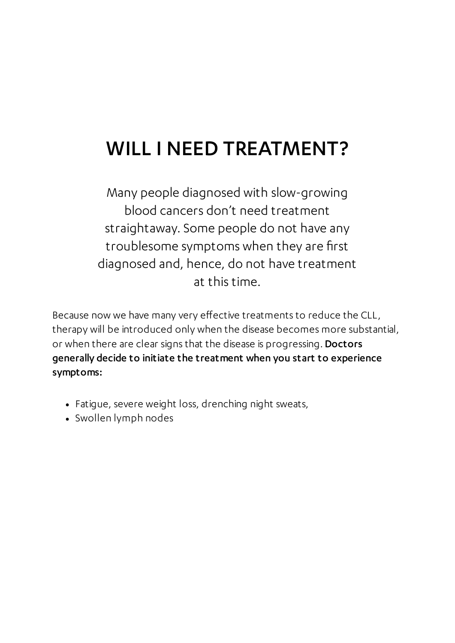## WILL I NEED TREATMENT?

Many people diagnosed with slow-growing blood cancers don't need treatment straightaway. Some people do not have any troublesome symptoms when they are first diagnosed and, hence, do not have treatment at this time.

Because now we have many very effective treatments to reduce the CLL, therapy will be introduced only when the disease becomes more substantial, or when there are clear signs that the disease is progressing. Doctors generally decide to initiate the treatment when you start to experience symptoms:

- Fatigue, severe weight loss, drenching night sweats,
- Swollen lymph nodes